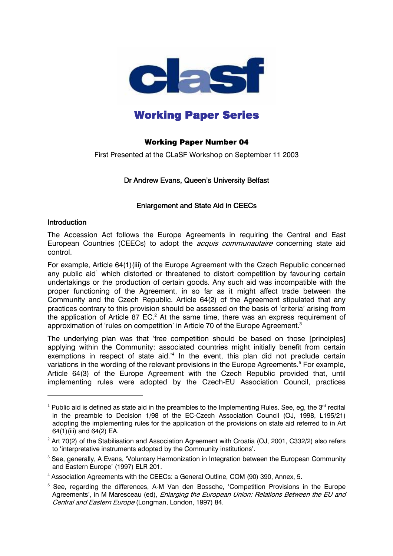

# Working Paper Series

# Working Paper Number 04

First Presented at the CLaSF Workshop on September 11 2003

# Dr Andrew Evans, Queen's University Belfast

# Enlargement and State Aid in CEECs

## **Introduction**

 $\overline{a}$ 

The Accession Act follows the Europe Agreements in requiring the Central and East European Countries (CEECs) to adopt the *acquis communautaire* concerning state aid control.

For example, Article 64(1)(iii) of the Europe Agreement with the Czech Republic concerned any public aid<sup>1</sup> which distorted or threatened to distort competition by favouring certain undertakings or the production of certain goods. Any such aid was incompatible with the proper functioning of the Agreement, in so far as it might affect trade between the Community and the Czech Republic. Article 64(2) of the Agreement stipulated that any practices contrary to this provision should be assessed on the basis of 'criteria' arising from the application of Article 87 EC.<sup>2</sup> At the same time, there was an express requirement of approximation of 'rules on competition' in Article 70 of the Europe Agreement.<sup>3</sup>

The underlying plan was that 'free competition should be based on those [principles] applying within the Community: associated countries might initially benefit from certain exemptions in respect of state aid.<sup>14</sup> In the event, this plan did not preclude certain variations in the wording of the relevant provisions in the Europe Agreements.<sup>5</sup> For example, Article 64(3) of the Europe Agreement with the Czech Republic provided that, until implementing rules were adopted by the Czech-EU Association Council, practices

<sup>&</sup>lt;sup>1</sup> Public aid is defined as state aid in the preambles to the Implementing Rules. See, eg, the 3<sup>rd</sup> recital in the preamble to Decision 1/98 of the EC-Czech Association Council (OJ, 1998, L195/21) adopting the implementing rules for the application of the provisions on state aid referred to in Art 64(1)(iii) and 64(2) EA.

 $^2$  Art 70(2) of the Stabilisation and Association Agreement with Croatia (OJ, 2001, C332/2) also refers to 'interpretative instruments adopted by the Community institutions'.

 $^3$  See, generally, A Evans, 'Voluntary Harmonization in Integration between the European Community and Eastern Europe' (1997) ELR 201.

<sup>&</sup>lt;sup>4</sup> Association Agreements with the CEECs: a General Outline, COM (90) 390, Annex, 5.

<sup>&</sup>lt;sup>5</sup> See, regarding the differences, A-M Van den Bossche, 'Competition Provisions in the Europe Agreements', in M Maresceau (ed), *Enlarging the European Union: Relations Between the EU and* Central and Eastern Europe (Longman, London, 1997) 84.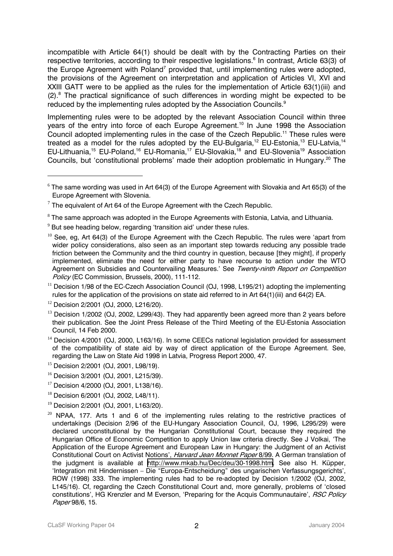incompatible with Article 64(1) should be dealt with by the Contracting Parties on their respective territories, according to their respective legislations.<sup>6</sup> In contrast, Article 63(3) of the Europe Agreement with Poland<sup>7</sup> provided that, until implementing rules were adopted, the provisions of the Agreement on interpretation and application of Articles VI, XVI and XXIII GATT were to be applied as the rules for the implementation of Article 63(1)(iii) and  $(2)$ .<sup>8</sup> The practical significance of such differences in wording might be expected to be reduced by the implementing rules adopted by the Association Councils. $^{\textrm{\textregistered}}$ 

Implementing rules were to be adopted by the relevant Association Council within three years of the entry into force of each Europe Agreement.<sup>10</sup> In June 1998 the Association Council adopted implementing rules in the case of the Czech Republic.11 These rules were treated as a model for the rules adopted by the EU-Bulgaria,<sup>12</sup> EU-Estonia,<sup>13</sup> EU-Latvia,<sup>14</sup> EU-Lithuania,<sup>15</sup> EU-Poland,<sup>16</sup> EU-Romania,<sup>17</sup> EU-Slovakia,<sup>18</sup> and EU-Slovenia<sup>19</sup> Association Councils, but 'constitutional problems' made their adoption problematic in Hungary.<sup>20</sup> The

- $14$  Decision 4/2001 (OJ, 2000, L163/16). In some CEECs national legislation provided for assessment of the compatibility of state aid by way of direct application of the Europe Agreement. See, regarding the Law on State Aid 1998 in Latvia, Progress Report 2000, 47.
- <sup>15</sup> Decision 2/2001 (OJ, 2001, L98/19).
- <sup>16</sup> Decision 3/2001 (OJ, 2001, L215/39).
- <sup>17</sup> Decision 4/2000 (OJ, 2001, L138/16).
- <sup>18</sup> Decision 6/2001 (OJ, 2002, L48/11).
- <sup>19</sup> Decision 2/2001 (OJ, 2001, L163/20).
- $20$  NPAA, 177. Arts 1 and 6 of the implementing rules relating to the restrictive practices of undertakings (Decision 2/96 of the EU-Hungary Association Council, OJ, 1996, L295/29) were declared unconstitutional by the Hungarian Constitutional Court, because they required the Hungarian Office of Economic Competition to apply Union law criteria directly. See J Volkai, 'The Application of the Europe Agreement and European Law in Hungary: the Judgment of an Activist Constitutional Court on Activist Notions', Harvard Jean Monnet Paper 8/99. A German translation of the judgment is available at <http://www.mkab.hu/Dec/deu/30-1998.htm>. See also H. Küpper, 'Integration mit Hindernissen – Die "Europa-Entscheidung" des ungarischen Verfassungsgerichts', ROW (1998) 333. The implementing rules had to be re-adopted by Decision 1/2002 (OJ, 2002, L145/16). Cf, regarding the Czech Constitutional Court and, more generally, problems of 'closed constitutions', HG Krenzler and M Everson, 'Preparing for the Acquis Communautaire', RSC Policy Paper 98/6, 15.

 $^6$  The same wording was used in Art 64(3) of the Europe Agreement with Slovakia and Art 65(3) of the Europe Agreement with Slovenia.

 $7$  The equivalent of Art 64 of the Europe Agreement with the Czech Republic.

 $^{\rm 8}$  The same approach was adopted in the Europe Agreements with Estonia, Latvia, and Lithuania.

 $9$  But see heading below, regarding 'transition aid' under these rules.

 $10$  See, eg. Art 64(3) of the Europe Agreement with the Czech Republic. The rules were 'apart from wider policy considerations, also seen as an important step towards reducing any possible trade friction between the Community and the third country in question, because [they might], if properly implemented, eliminate the need for either party to have recourse to action under the WTO Agreement on Subsidies and Countervailing Measures.' See Twenty-ninth Report on Competition Policy (EC Commission, Brussels, 2000), 111-112.

 $11$  Decision 1/98 of the EC-Czech Association Council (OJ, 1998, L195/21) adopting the implementing rules for the application of the provisions on state aid referred to in Art 64(1)(iii) and 64(2) EA.

<sup>&</sup>lt;sup>12</sup> Decision 2/2001 (OJ, 2000, L216/20).

 $13$  Decision 1/2002 (OJ, 2002, L299/43). They had apparently been agreed more than 2 years before their publication. See the Joint Press Release of the Third Meeting of the EU-Estonia Association Council, 14 Feb 2000.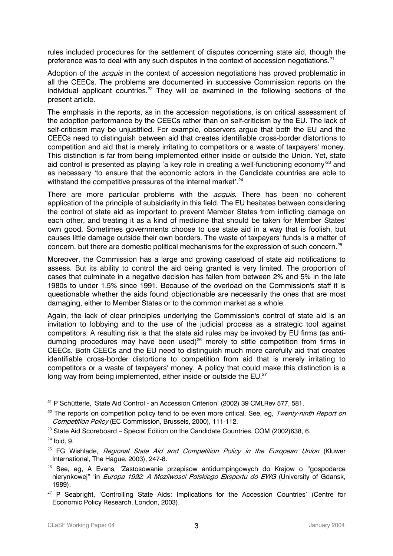rules included procedures for the settlement of disputes concerning state aid, though the preference was to deal with any such disputes in the context of accession negotiations.<sup>21</sup>

Adoption of the *acquis* in the context of accession negotiations has proved problematic in all the CEECs. The problems are documented in successive Commission reports on the individual applicant countries.<sup>22</sup> They will be examined in the following sections of the present article.

The emphasis in the reports, as in the accession negotiations, is on critical assessment of the adoption performance by the CEECs rather than on self-criticism by the EU. The lack of self-criticism may be unjustified. For example, observers argue that both the EU and the CEECs need to distinguish between aid that creates identifiable cross-border distortions to competition and aid that is merely irritating to competitors or a waste of taxpayers' money. This distinction is far from being implemented either inside or outside the Union. Yet, state aid control is presented as playing 'a key role in creating a well-functioning economy<sup>'23</sup> and as necessary 'to ensure that the economic actors in the Candidate countries are able to withstand the competitive pressures of the internal market'.<sup>24</sup>

There are more particular problems with the *acquis*. There has been no coherent application of the principle of subsidiarity in this field. The EU hesitates between considering the control of state aid as important to prevent Member States from inflicting damage on each other, and treating it as a kind of medicine that should be taken for Member States' own good. Sometimes governments choose to use state aid in a way that is foolish, but causes little damage outside their own borders. The waste of taxpayers' funds is a matter of concern, but there are domestic political mechanisms for the expression of such concern. $25$ 

Moreover, the Commission has a large and growing caseload of state aid notifications to assess. But its ability to control the aid being granted is very limited. The proportion of cases that culminate in a negative decision has fallen from between 2% and 5% in the late 1980s to under 1.5% since 1991. Because of the overload on the Commission's staff it is questionable whether the aids found objectionable are necessarily the ones that are most damaging, either to Member States or to the common market as a whole.

Again, the lack of clear principles underlying the Commission's control of state aid is an invitation to lobbying and to the use of the judicial process as a strategic tool against competitors. A resulting risk is that the state aid rules may be invoked by EU firms (as antidumping procedures may have been used)<sup>26</sup> merely to stifle competition from firms in CEECs. Both CEECs and the EU need to distinguish much more carefully aid that creates identifiable cross-border distortions to competition from aid that is merely irritating to competitors or a waste of taxpayers' money. A policy that could make this distinction is a long way from being implemented, either inside or outside the EU.<sup>27</sup>

<sup>&</sup>lt;sup>21</sup> P Schütterle, 'State Aid Control - an Accession Criterion' (2002) 39 CMLRev 577, 581.

<sup>&</sup>lt;sup>22</sup> The reports on competition policy tend to be even more critical. See, eg, Twenty-ninth Report on Competition Policy (EC Commission, Brussels, 2000), 111-112.

 $23$  State Aid Scoreboard – Special Edition on the Candidate Countries, COM (2002)638, 6.

 $24$  Ibid, 9.

 $25$  FG Wishlade, Regional State Aid and Competition Policy in the European Union (Kluwer International, The Hague, 2003), 247-8.

 $26$  See, eq, A Evans, 'Zastosowanie przepisow antidumpingowych do Krajow o "gospodarce nierynkowej" 'in Europa 1992: A Mozliwosci Polskiego Eksportu do EWG (University of Gdansk, 1989).

 $27$  P Seabright, 'Controlling State Aids: Implications for the Accession Countries' (Centre for Economic Policy Research, London, 2003).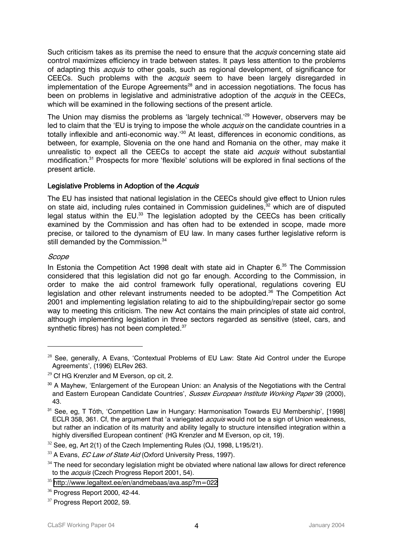Such criticism takes as its premise the need to ensure that the *acquis* concerning state aid control maximizes efficiency in trade between states. It pays less attention to the problems of adapting this *acquis* to other goals, such as regional development, of significance for CEECs. Such problems with the *acquis* seem to have been largely disregarded in implementation of the Europe Agreements<sup>28</sup> and in accession negotiations. The focus has been on problems in legislative and administrative adoption of the *acquis* in the CEECs, which will be examined in the following sections of the present article.

The Union may dismiss the problems as 'largely technical.<sup>'29</sup> However, observers may be led to claim that the 'EU is trying to impose the whole *acquis* on the candidate countries in a totally inflexible and anti-economic way.'<sup>30</sup> At least, differences in economic conditions, as between, for example, Slovenia on the one hand and Romania on the other, may make it unrealistic to expect all the CEECs to accept the state aid *acquis* without substantial modification.<sup>31</sup> Prospects for more 'flexible' solutions will be explored in final sections of the present article.

# Legislative Problems in Adoption of the Acquis

The EU has insisted that national legislation in the CEECs should give effect to Union rules on state aid, including rules contained in Commission guidelines.<sup>32</sup> which are of disputed legal status within the EU. $^{33}$  The legislation adopted by the CEECs has been critically examined by the Commission and has often had to be extended in scope, made more precise, or tailored to the dynamism of EU law. In many cases further legislative reform is still demanded by the Commission.<sup>34</sup>

# Scope

 $\overline{a}$ 

In Estonia the Competition Act 1998 dealt with state aid in Chapter 6.<sup>35</sup> The Commission considered that this legislation did not go far enough. According to the Commission, in order to make the aid control framework fully operational, regulations covering EU legislation and other relevant instruments needed to be adopted.<sup>36</sup> The Competition Act 2001 and implementing legislation relating to aid to the shipbuilding/repair sector go some way to meeting this criticism. The new Act contains the main principles of state aid control, although implementing legislation in three sectors regarded as sensitive (steel, cars, and synthetic fibres) has not been completed.<sup>37</sup>

 $28$  See, generally, A Evans, 'Contextual Problems of EU Law: State Aid Control under the Europe Agreements', (1996) ELRev 263.

 $29$  Cf HG Krenzler and M Everson, op cit, 2.

<sup>&</sup>lt;sup>30</sup> A Mayhew, 'Enlargement of the European Union: an Analysis of the Negotiations with the Central and Eastern European Candidate Countries', Sussex European Institute Working Paper 39 (2000), 43.

<sup>&</sup>lt;sup>31</sup> See, eg, T Tóth, 'Competition Law in Hungary: Harmonisation Towards EU Membership', [1998] ECLR 358, 361. Cf, the argument that 'a variegated *acquis* would not be a sign of Union weakness, but rather an indication of its maturity and ability legally to structure intensified integration within a highly diversified European continent' (HG Krenzler and M Everson, op cit, 19).

 $32$  See, eg, Art 2(1) of the Czech Implementing Rules (OJ, 1998, L195/21).

 $33$  A Evans, *EC Law of State Aid* (Oxford University Press, 1997).

 $34$  The need for secondary legislation might be obviated where national law allows for direct reference to the *acquis* (Czech Progress Report 2001, 54).

<sup>35</sup> <http://www.legaltext.ee/en/andmebaas/ava.asp?m=022>

<sup>36</sup> Progress Report 2000, 42-44.

<sup>&</sup>lt;sup>37</sup> Progress Report 2002, 59.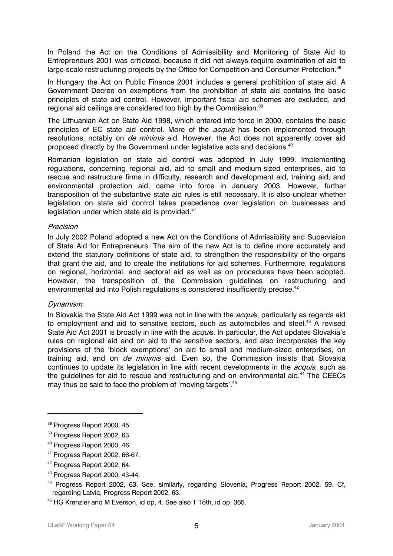In Poland the Act on the Conditions of Admissibility and Monitoring of State Aid to Entrepreneurs 2001 was criticized, because it did not always require examination of aid to large-scale restructuring projects by the Office for Competition and Consumer Protection.<sup>38</sup>

In Hungary the Act on Public Finance 2001 includes a general prohibition of state aid. A Government Decree on exemptions from the prohibition of state aid contains the basic principles of state aid control. However, important fiscal aid schemes are excluded, and regional aid ceilings are considered too high by the Commission.<sup>39</sup>

The Lithuanian Act on State Aid 1998, which entered into force in 2000, contains the basic principles of EC state aid control. More of the *acquis* has been implemented through resolutions, notably on *de minimis* aid. However, the Act does not apparently cover aid proposed directly by the Government under legislative acts and decisions.40

Romanian legislation on state aid control was adopted in July 1999. Implementing regulations, concerning regional aid, aid to small and medium-sized enterprises, aid to rescue and restructure firms in difficulty, research and development aid, training aid, and environmental protection aid, came into force in January 2003. However, further transposition of the substantive state aid rules is still necessary. It is also unclear whether legislation on state aid control takes precedence over legislation on businesses and legislation under which state aid is provided.<sup>41</sup>

#### Precision

In July 2002 Poland adopted a new Act on the Conditions of Admissibility and Supervision of State Aid for Entrepreneurs. The aim of the new Act is to define more accurately and extend the statutory definitions of state aid, to strengthen the responsibility of the organs that grant the aid, and to create the institutions for aid schemes. Furthermore, regulations on regional, horizontal, and sectoral aid as well as on procedures have been adopted. However, the transposition of the Commission guidelines on restructuring and environmental aid into Polish regulations is considered insufficiently precise.<sup>42</sup>

#### Dynamism

 $\overline{a}$ 

In Slovakia the State Aid Act 1999 was not in line with the *acqui*s, particularly as regards aid to employment and aid to sensitive sectors, such as automobiles and steel.<sup>43</sup> A revised State Aid Act 2001 is broadly in line with the *acqui*s. In particular, the Act updates Slovakia's rules on regional aid and on aid to the sensitive sectors, and also incorporates the key provisions of the 'block exemptions' on aid to small and medium-sized enterprises, on training aid, and on *de minimis* aid. Even so, the Commission insists that Slovakia continues to update its legislation in line with recent developments in the *acquis*, such as the quidelines for aid to rescue and restructuring and on environmental aid. $44$  The CEECs may thus be said to face the problem of 'moving targets'.<sup>45</sup>

<sup>&</sup>lt;sup>38</sup> Progress Report 2000, 45.

<sup>&</sup>lt;sup>39</sup> Progress Report 2002, 63.

<sup>40</sup> Progress Report 2000, 46.

 $41$  Progress Report 2002, 66-67.

<sup>42</sup> Progress Report 2002, 64.

<sup>43</sup> Progress Report 2000, 43-44.

<sup>44</sup> Progress Report 2002, 63. See, similarly, regarding Slovenia, Progress Report 2002, 59. Cf, regarding Latvia, Progress Report 2002, 63.

<sup>&</sup>lt;sup>45</sup> HG Krenzler and M Everson, id op, 4. See also T Tóth, id op, 365.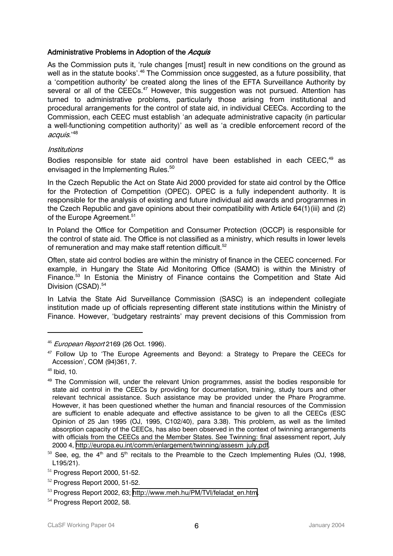# Administrative Problems in Adoption of the Acquis

As the Commission puts it, 'rule changes [must] result in new conditions on the ground as well as in the statute books'.<sup>46</sup> The Commission once suggested, as a future possibility, that a 'competition authority' be created along the lines of the EFTA Surveillance Authority by several or all of the CEECs.<sup>47</sup> However, this suggestion was not pursued. Attention has turned to administrative problems, particularly those arising from institutional and procedural arrangements for the control of state aid, in individual CEECs. According to the Commission, each CEEC must establish 'an adequate administrative capacity (in particular a well-functioning competition authority)' as well as 'a credible enforcement record of the acquis.'<sup>48</sup>

## Institutions

Bodies responsible for state aid control have been established in each CEEC,<sup>49</sup> as envisaged in the Implementing Rules.<sup>50</sup>

In the Czech Republic the Act on State Aid 2000 provided for state aid control by the Office for the Protection of Competition (OPEC). OPEC is a fully independent authority. It is responsible for the analysis of existing and future individual aid awards and programmes in the Czech Republic and gave opinions about their compatibility with Article 64(1)(iii) and (2) of the Europe Agreement.<sup>51</sup>

In Poland the Office for Competition and Consumer Protection (OCCP) is responsible for the control of state aid. The Office is not classified as a ministry, which results in lower levels of remuneration and may make staff retention difficult.<sup>52</sup>

Often, state aid control bodies are within the ministry of finance in the CEEC concerned. For example, in Hungary the State Aid Monitoring Office (SAMO) is within the Ministry of Finance.<sup>53</sup> In Estonia the Ministry of Finance contains the Competition and State Aid Division (CSAD).<sup>54</sup>

In Latvia the State Aid Surveillance Commission (SASC) is an independent collegiate institution made up of officials representing different state institutions within the Ministry of Finance. However, 'budgetary restraints' may prevent decisions of this Commission from

<sup>46</sup> European Report 2169 (26 Oct. 1996).

<sup>&</sup>lt;sup>47</sup> Follow Up to 'The Europe Agreements and Beyond: a Strategy to Prepare the CEECs for Accession', COM (94)361, 7.

 $48$  Ibid, 10.

<sup>&</sup>lt;sup>49</sup> The Commission will, under the relevant Union programmes, assist the bodies responsible for state aid control in the CEECs by providing for documentation, training, study tours and other relevant technical assistance. Such assistance may be provided under the Phare Programme. However, it has been questioned whether the human and financial resources of the Commission are sufficient to enable adequate and effective assistance to be given to all the CEECs (ESC Opinion of 25 Jan 1995 (OJ, 1995, C102/40), para 3.38). This problem, as well as the limited absorption capacity of the CEECs, has also been observed in the context of twinning arrangements with officials from the CEECs and the Member States. See Twinning: final assessment report, July 2000 4, [http://europa.eu.int/comm/enlargement/twinning/assesm\\_july.pdf](http://europa.eu.int/comm/enlargement/twinning/assesm_july.pdf).

 $50$  See, eg, the 4<sup>th</sup> and 5<sup>th</sup> recitals to the Preamble to the Czech Implementing Rules (OJ, 1998, L195/21).

 $51$  Progress Report 2000, 51-52.

 $52$  Progress Report 2000, 51-52.

<sup>53</sup> Progress Report 2002, 63; [http://www.meh.hu/PM/TVI/feladat\\_en.htm.](http://www.meh.hu/PM/TVI/feladat_en.htm)

<sup>&</sup>lt;sup>54</sup> Progress Report 2002, 58.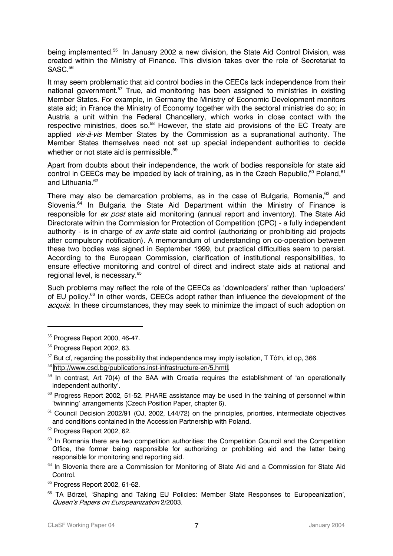being implemented.<sup>55</sup> In January 2002 a new division, the State Aid Control Division, was created within the Ministry of Finance. This division takes over the role of Secretariat to SASC.<sup>56</sup>

It may seem problematic that aid control bodies in the CEECs lack independence from their national government.<sup>57</sup> True, aid monitoring has been assigned to ministries in existing Member States. For example, in Germany the Ministry of Economic Development monitors state aid; in France the Ministry of Economy together with the sectoral ministries do so; in Austria a unit within the Federal Chancellery, which works in close contact with the respective ministries, does so.<sup>58</sup> However, the state aid provisions of the EC Treaty are applied *vis-à-vis* Member States by the Commission as a supranational authority. The Member States themselves need not set up special independent authorities to decide whether or not state aid is permissible.<sup>59</sup>

Apart from doubts about their independence, the work of bodies responsible for state aid control in CEECs may be impeded by lack of training, as in the Czech Republic,<sup>60</sup> Poland,<sup>61</sup> and Lithuania.<sup>62</sup>

There may also be demarcation problems, as in the case of Bulgaria, Romania,<sup>63</sup> and Slovenia.<sup>64</sup> In Bulgaria the State Aid Department within the Ministry of Finance is responsible for ex post state aid monitoring (annual report and inventory). The State Aid Directorate within the Commission for Protection of Competition (CPC) - a fully independent authority - is in charge of  $ex$  ante state aid control (authorizing or prohibiting aid projects after compulsory notification). A memorandum of understanding on co-operation between these two bodies was signed in September 1999, but practical difficulties seem to persist. According to the European Commission, clarification of institutional responsibilities, to ensure effective monitoring and control of direct and indirect state aids at national and regional level, is necessary.<sup>65</sup>

Such problems may reflect the role of the CEECs as 'downloaders' rather than 'uploaders' of EU policy.<sup>66</sup> In other words, CEECs adopt rather than influence the development of the acquis. In these circumstances, they may seek to minimize the impact of such adoption on

 $55$  Progress Report 2000, 46-47.

<sup>56</sup> Progress Report 2002, 63.

 $57$  But cf. regarding the possibility that independence may imply isolation, T Tóth, id op, 366.

<sup>58</sup> <http://www.csd.bg/publications.inst-infrastructure-en/5.hmtl>.

 $59$  In contrast, Art 70(4) of the SAA with Croatia requires the establishment of 'an operationally independent authority'.

 $60$  Progress Report 2002, 51-52. PHARE assistance may be used in the training of personnel within 'twinning' arrangements (Czech Position Paper, chapter 6).

<sup>&</sup>lt;sup>61</sup> Council Decision 2002/91 (OJ, 2002, L44/72) on the principles, priorities, intermediate objectives and conditions contained in the Accession Partnership with Poland.

<sup>62</sup> Progress Report 2002, 62.

 $63$  In Romania there are two competition authorities: the Competition Council and the Competition Office, the former being responsible for authorizing or prohibiting aid and the latter being responsible for monitoring and reporting aid.

<sup>&</sup>lt;sup>64</sup> In Slovenia there are a Commission for Monitoring of State Aid and a Commission for State Aid Control.

 $65$  Progress Report 2002, 61-62.

<sup>&</sup>lt;sup>66</sup> TA Börzel, 'Shaping and Taking EU Policies: Member State Responses to Europeanization', Queen's Papers on Europeanization 2/2003.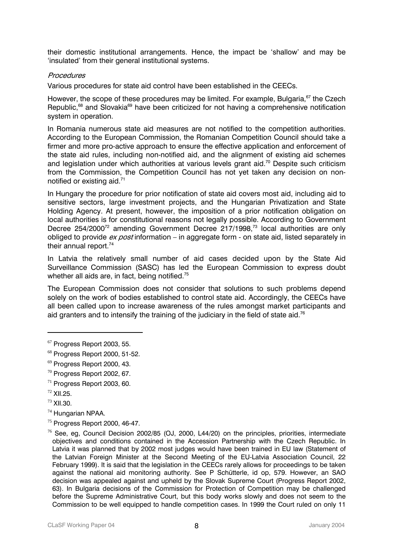their domestic institutional arrangements. Hence, the impact be 'shallow' and may be 'insulated' from their general institutional systems.

### **Procedures**

Various procedures for state aid control have been established in the CEECs.

However, the scope of these procedures may be limited. For example, Bulgaria, <sup>67</sup> the Czech Republic,<sup>68</sup> and Slovakia<sup>69</sup> have been criticized for not having a comprehensive notification system in operation.

In Romania numerous state aid measures are not notified to the competition authorities. According to the European Commission, the Romanian Competition Council should take a firmer and more pro-active approach to ensure the effective application and enforcement of the state aid rules, including non-notified aid, and the alignment of existing aid schemes and legislation under which authorities at various levels grant aid.<sup>70</sup> Despite such criticism from the Commission, the Competition Council has not yet taken any decision on nonnotified or existing aid.71

In Hungary the procedure for prior notification of state aid covers most aid, including aid to sensitive sectors, large investment projects, and the Hungarian Privatization and State Holding Agency. At present, however, the imposition of a prior notification obligation on local authorities is for constitutional reasons not legally possible. According to Government Decree 254/2000<sup>72</sup> amending Government Decree 217/1998.<sup>73</sup> local authorities are only obliged to provide  $ex$  post information – in aggregate form - on state aid, listed separately in their annual report.<sup>74</sup>

In Latvia the relatively small number of aid cases decided upon by the State Aid Surveillance Commission (SASC) has led the European Commission to express doubt whether all aids are, in fact, being notified.<sup>75</sup>

The European Commission does not consider that solutions to such problems depend solely on the work of bodies established to control state aid. Accordingly, the CEECs have all been called upon to increase awareness of the rules amongst market participants and aid granters and to intensify the training of the judiciary in the field of state aid.<sup>76</sup>

- $71$  Progress Report 2003, 60.
- $72$  XII.25.
- <sup>73</sup> XII.30.

- <sup>74</sup> Hungarian NPAA.
- $75$  Progress Report 2000, 46-47.

<sup>67</sup> Progress Report 2003, 55.

<sup>68</sup> Progress Report 2000, 51-52.

<sup>69</sup> Progress Report 2000, 43.

 $70$  Progress Report 2002, 67.

 $76$  See, eg, Council Decision 2002/85 (OJ, 2000, L44/20) on the principles, priorities, intermediate objectives and conditions contained in the Accession Partnership with the Czech Republic. In Latvia it was planned that by 2002 most judges would have been trained in EU law (Statement of the Latvian Foreign Minister at the Second Meeting of the EU-Latvia Association Council, 22 February 1999). It is said that the legislation in the CEECs rarely allows for proceedings to be taken against the national aid monitoring authority. See P Schütterle, id op, 579. However, an SAO decision was appealed against and upheld by the Slovak Supreme Court (Progress Report 2002, 63). In Bulgaria decisions of the Commission for Protection of Competition may be challenged before the Supreme Administrative Court, but this body works slowly and does not seem to the Commission to be well equipped to handle competition cases. In 1999 the Court ruled on only 11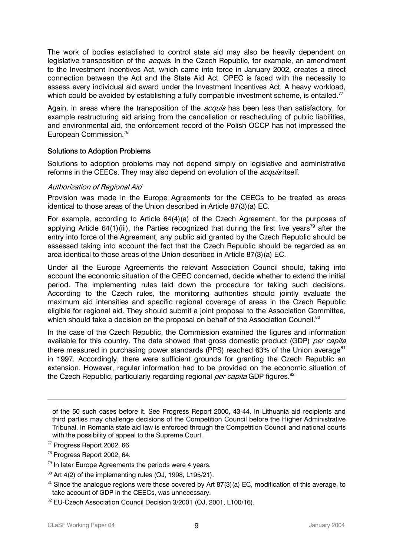The work of bodies established to control state aid may also be heavily dependent on legislative transposition of the *acquis*. In the Czech Republic, for example, an amendment to the Investment Incentives Act, which came into force in January 2002, creates a direct connection between the Act and the State Aid Act. OPEC is faced with the necessity to assess every individual aid award under the Investment Incentives Act. A heavy workload, which could be avoided by establishing a fully compatible investment scheme, is entailed.<sup>77</sup>

Again, in areas where the transposition of the *acquis* has been less than satisfactory, for example restructuring aid arising from the cancellation or rescheduling of public liabilities, and environmental aid, the enforcement record of the Polish OCCP has not impressed the European Commission.78

# Solutions to Adoption Problems

Solutions to adoption problems may not depend simply on legislative and administrative reforms in the CEECs. They may also depend on evolution of the *acquis* itself.

## Authorization of Regional Aid

Provision was made in the Europe Agreements for the CEECs to be treated as areas identical to those areas of the Union described in Article 87(3)(a) EC.

For example, according to Article 64(4)(a) of the Czech Agreement, for the purposes of applying Article 64(1)(iii), the Parties recognized that during the first five vears<sup>79</sup> after the entry into force of the Agreement, any public aid granted by the Czech Republic should be assessed taking into account the fact that the Czech Republic should be regarded as an area identical to those areas of the Union described in Article 87(3)(a) EC.

Under all the Europe Agreements the relevant Association Council should, taking into account the economic situation of the CEEC concerned, decide whether to extend the initial period. The implementing rules laid down the procedure for taking such decisions. According to the Czech rules, the monitoring authorities should jointly evaluate the maximum aid intensities and specific regional coverage of areas in the Czech Republic eligible for regional aid. They should submit a joint proposal to the Association Committee, which should take a decision on the proposal on behalf of the Association Council.<sup>80</sup>

In the case of the Czech Republic, the Commission examined the figures and information available for this country. The data showed that gross domestic product (GDP) per capita there measured in purchasing power standards (PPS) reached 63% of the Union average $^{81}$ in 1997. Accordingly, there were sufficient grounds for granting the Czech Republic an extension. However, regular information had to be provided on the economic situation of the Czech Republic, particularly regarding regional per capita GDP figures.<sup>82</sup>

of the 50 such cases before it. See Progress Report 2000, 43-44. In Lithuania aid recipients and third parties may challenge decisions of the Competition Council before the Higher Administrative Tribunal. In Romania state aid law is enforced through the Competition Council and national courts with the possibility of appeal to the Supreme Court.

<sup>77</sup> Progress Report 2002, 66.

<sup>78</sup> Progress Report 2002, 64.

 $79$  In later Europe Agreements the periods were 4 years.

 $80$  Art 4(2) of the implementing rules (OJ, 1998, L195/21).

 $81$  Since the analogue regions were those covered by Art 87(3)(a) EC, modification of this average, to take account of GDP in the CEECs, was unnecessary.

 $82$  EU-Czech Association Council Decision 3/2001 (OJ, 2001, L100/16).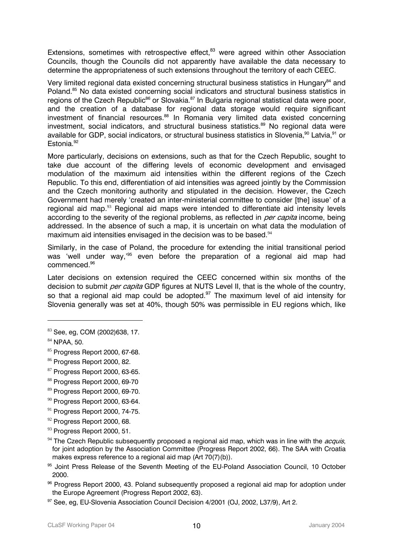Extensions, sometimes with retrospective effect, $83$  were agreed within other Association Councils, though the Councils did not apparently have available the data necessary to determine the appropriateness of such extensions throughout the territory of each CEEC.

Very limited regional data existed concerning structural business statistics in Hungary<sup>84</sup> and Poland.<sup>85</sup> No data existed concerning social indicators and structural business statistics in regions of the Czech Republic<sup>86</sup> or Slovakia.<sup>87</sup> In Bulgaria regional statistical data were poor, and the creation of a database for regional data storage would require significant investment of financial resources.<sup>88</sup> In Romania very limited data existed concerning investment, social indicators, and structural business statistics.<sup>89</sup> No regional data were available for GDP, social indicators, or structural business statistics in Slovenia,<sup>90</sup> Latvia,<sup>91</sup> or Estonia.<sup>92</sup>

More particularly, decisions on extensions, such as that for the Czech Republic, sought to take due account of the differing levels of economic development and envisaged modulation of the maximum aid intensities within the different regions of the Czech Republic. To this end, differentiation of aid intensities was agreed jointly by the Commission and the Czech monitoring authority and stipulated in the decision. However, the Czech Government had merely 'created an inter-ministerial committee to consider [the] issue' of a regional aid map. $93$  Regional aid maps were intended to differentiate aid intensity levels according to the severity of the regional problems, as reflected in *per capita* income, being addressed. In the absence of such a map, it is uncertain on what data the modulation of maximum aid intensities envisaged in the decision was to be based.<sup>94</sup>

Similarly, in the case of Poland, the procedure for extending the initial transitional period was 'well under way,'<sup>95</sup> even before the preparation of a regional aid map had commenced.96

Later decisions on extension required the CEEC concerned within six months of the decision to submit *per capita* GDP figures at NUTS Level II, that is the whole of the country, so that a regional aid map could be adopted. $97$  The maximum level of aid intensity for Slovenia generally was set at 40%, though 50% was permissible in EU regions which, like

- 88 Progress Report 2000, 69-70
- <sup>89</sup> Progress Report 2000, 69-70.
- $90$  Progress Report 2000, 63-64.
- $91$  Progress Report 2000, 74-75.
- $92$  Progress Report 2000, 68.
- <sup>93</sup> Progress Report 2000, 51.
- $94$  The Czech Republic subsequently proposed a regional aid map, which was in line with the *acquis*, for joint adoption by the Association Committee (Progress Report 2002, 66). The SAA with Croatia makes express reference to a regional aid map (Art 70(7)(b)).
- <sup>95</sup> Joint Press Release of the Seventh Meeting of the EU-Poland Association Council, 10 October 2000.
- 96 Progress Report 2000, 43. Poland subsequently proposed a regional aid map for adoption under the Europe Agreement (Progress Report 2002, 63).

<sup>83</sup> See, eg, COM (2002)638, 17.

<sup>84</sup> NPAA, 50.

<sup>85</sup> Progress Report 2000, 67-68.

<sup>86</sup> Progress Report 2000, 82.

<sup>87</sup> Progress Report 2000, 63-65.

<sup>97</sup> See, eg, EU-Slovenia Association Council Decision 4/2001 (OJ, 2002, L37/9), Art 2.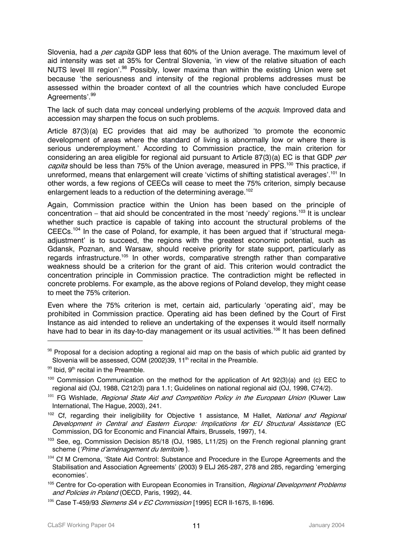Slovenia, had a *per capita* GDP less that 60% of the Union average. The maximum level of aid intensity was set at 35% for Central Slovenia, 'in view of the relative situation of each NUTS level III region'.<sup>98</sup> Possibly, lower maxima than within the existing Union were set because 'the seriousness and intensity of the regional problems addresses must be assessed within the broader context of all the countries which have concluded Europe Agreements'.<sup>99</sup>

The lack of such data may conceal underlying problems of the *acquis*. Improved data and accession may sharpen the focus on such problems.

Article 87(3)(a) EC provides that aid may be authorized 'to promote the economic development of areas where the standard of living is abnormally low or where there is serious underemployment.' According to Commission practice, the main criterion for considering an area eligible for regional aid pursuant to Article 87(3)(a) EC is that GDP per capita should be less than 75% of the Union average, measured in PPS.<sup>100</sup> This practice, if unreformed, means that enlargement will create 'victims of shifting statistical averages'.<sup>101</sup> In other words, a few regions of CEECs will cease to meet the 75% criterion, simply because enlargement leads to a reduction of the determining average.<sup>102</sup>

Again, Commission practice within the Union has been based on the principle of concentration – that aid should be concentrated in the most 'needy' regions.<sup>103</sup> It is unclear whether such practice is capable of taking into account the structural problems of the CEECs.<sup>104</sup> In the case of Poland, for example, it has been argued that if 'structural megaadjustment' is to succeed, the regions with the greatest economic potential, such as Gdansk, Poznan, and Warsaw, should receive priority for state support, particularly as regards infrastructure.<sup>105</sup> In other words, comparative strength rather than comparative weakness should be a criterion for the grant of aid. This criterion would contradict the concentration principle in Commission practice. The contradiction might be reflected in concrete problems. For example, as the above regions of Poland develop, they might cease to meet the 75% criterion.

Even where the 75% criterion is met, certain aid, particularly 'operating aid', may be prohibited in Commission practice. Operating aid has been defined by the Court of First Instance as aid intended to relieve an undertaking of the expenses it would itself normally have had to bear in its day-to-day management or its usual activities.<sup>106</sup> It has been defined

 $98$  Proposal for a decision adopting a regional aid map on the basis of which public aid granted by Slovenia will be assessed, COM  $(2002)39$ , 11<sup>th</sup> recital in the Preamble.

 $99$  Ibid,  $9<sup>th</sup>$  recital in the Preamble.

 $100$  Commission Communication on the method for the application of Art 92(3)(a) and (c) EEC to regional aid (OJ, 1988, C212/3) para 1.1; Guidelines on national regional aid (OJ, 1998, C74/2).

<sup>&</sup>lt;sup>101</sup> FG Wishlade, *Regional State Aid and Competition Policy in the European Union* (Kluwer Law International, The Hague, 2003), 241.

<sup>&</sup>lt;sup>102</sup> Cf. regarding their ineligibility for Objective 1 assistance, M Hallet, National and Regional Development in Central and Eastern Europe: Implications for EU Structural Assistance (EC Commission, DG for Economic and Financial Affairs, Brussels, 1997), 14.

<sup>&</sup>lt;sup>103</sup> See, eg, Commission Decision 85/18 (OJ, 1985, L11/25) on the French regional planning grant scheme ('Prime d'aménagement du territoire').

 $104$  Cf M Cremona, 'State Aid Control: Substance and Procedure in the Europe Agreements and the Stabilisation and Association Agreements' (2003) 9 ELJ 265-287, 278 and 285, regarding 'emerging economies'.

<sup>&</sup>lt;sup>105</sup> Centre for Co-operation with European Economies in Transition, *Regional Development Problems* and Policies in Poland (OECD, Paris, 1992), 44.

 $106$  Case T-459/93 *Siemens SA v EC Commission* [1995] ECR II-1675, II-1696.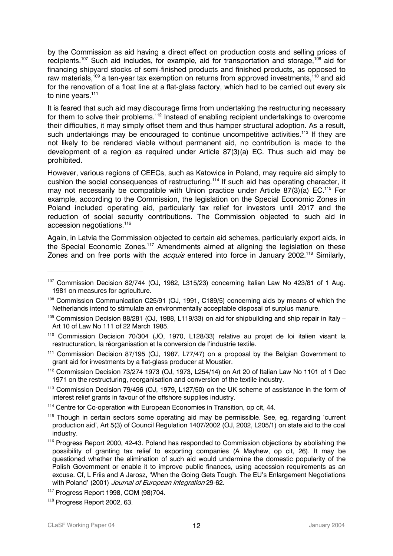by the Commission as aid having a direct effect on production costs and selling prices of recipients.<sup>107</sup> Such aid includes, for example, aid for transportation and storage,<sup>108</sup> aid for financing shipyard stocks of semi-finished products and finished products, as opposed to raw materials,<sup>109</sup> a ten-year tax exemption on returns from approved investments.<sup>110</sup> and aid for the renovation of a float line at a flat-glass factory, which had to be carried out every six to nine years.<sup>111</sup>

It is feared that such aid may discourage firms from undertaking the restructuring necessary for them to solve their problems.<sup>112</sup> Instead of enabling recipient undertakings to overcome their difficulties, it may simply offset them and thus hamper structural adoption. As a result, such undertakings may be encouraged to continue uncompetitive activities.<sup>113</sup> If they are not likely to be rendered viable without permanent aid, no contribution is made to the development of a region as required under Article 87(3)(a) EC. Thus such aid may be prohibited.

However, various regions of CEECs, such as Katowice in Poland, may require aid simply to cushion the social consequences of restructuring.114 If such aid has operating character, it may not necessarily be compatible with Union practice under Article 87(3)(a) EC.<sup>115</sup> For example, according to the Commission, the legislation on the Special Economic Zones in Poland included operating aid, particularly tax relief for investors until 2017 and the reduction of social security contributions. The Commission objected to such aid in accession negotiations.<sup>116</sup>

Again, in Latvia the Commission objected to certain aid schemes, particularly export aids, in the Special Economic Zones.<sup>117</sup> Amendments aimed at aligning the legislation on these Zones and on free ports with the *acquis* entered into force in January 2002.<sup>118</sup> Similarly,

 $107$  Commission Decision 82/744 (OJ, 1982, L315/23) concerning Italian Law No 423/81 of 1 Aug. 1981 on measures for agriculture.

<sup>108</sup> Commission Communication C25/91 (OJ, 1991, C189/5) concerning aids by means of which the Netherlands intend to stimulate an environmentally acceptable disposal of surplus manure.

 $109$  Commission Decision 88/281 (OJ, 1988, L119/33) on aid for shipbuilding and ship repair in Italy – Art 10 of Law No 111 of 22 March 1985.

<sup>110</sup> Commission Decision 70/304 (JO, 1970, L128/33) relative au projet de loi italien visant la restructuration, la réorganisation et la conversion de l'industrie textile.

<sup>&</sup>lt;sup>111</sup> Commission Decision 87/195 (OJ, 1987, L77/47) on a proposal by the Belgian Government to grant aid for investments by a flat-glass producer at Moustier.

<sup>112</sup> Commission Decision 73/274 1973 (OJ, 1973, L254/14) on Art 20 of Italian Law No 1101 of 1 Dec 1971 on the restructuring, reorganisation and conversion of the textile industry.

<sup>113</sup> Commission Decision 79/496 (OJ, 1979, L127/50) on the UK scheme of assistance in the form of interest relief grants in favour of the offshore supplies industry.

<sup>&</sup>lt;sup>114</sup> Centre for Co-operation with European Economies in Transition, op cit, 44.

<sup>&</sup>lt;sup>115</sup> Though in certain sectors some operating aid may be permissible. See, eg, regarding 'current production aid', Art 5(3) of Council Regulation 1407/2002 (OJ, 2002, L205/1) on state aid to the coal industry.

<sup>&</sup>lt;sup>116</sup> Progress Report 2000, 42-43. Poland has responded to Commission objections by abolishing the possibility of granting tax relief to exporting companies (A Mayhew, op cit, 26). It may be questioned whether the elimination of such aid would undermine the domestic popularity of the Polish Government or enable it to improve public finances, using accession requirements as an excuse. Cf, L Friis and A Jarosz, 'When the Going Gets Tough. The EU's Enlargement Negotiations with Poland' (2001) Journal of European Integration 29-62.

 $117$  Progress Report 1998, COM (98)704.

 $118$  Progress Report 2002, 63.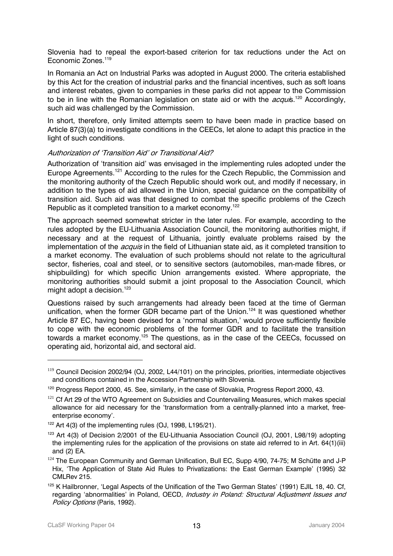Slovenia had to repeal the export-based criterion for tax reductions under the Act on Economic Zones.<sup>119</sup>

In Romania an Act on Industrial Parks was adopted in August 2000. The criteria established by this Act for the creation of industrial parks and the financial incentives, such as soft loans and interest rebates, given to companies in these parks did not appear to the Commission to be in line with the Romanian legislation on state aid or with the  $acquis$ .<sup>120</sup> Accordingly, such aid was challenged by the Commission.

In short, therefore, only limited attempts seem to have been made in practice based on Article 87(3)(a) to investigate conditions in the CEECs, let alone to adapt this practice in the light of such conditions.

## Authorization of 'Transition Aid' or Transitional Aid?

Authorization of 'transition aid' was envisaged in the implementing rules adopted under the Europe Agreements.<sup>121</sup> According to the rules for the Czech Republic, the Commission and the monitoring authority of the Czech Republic should work out, and modify if necessary, in addition to the types of aid allowed in the Union, special guidance on the compatibility of transition aid. Such aid was that designed to combat the specific problems of the Czech Republic as it completed transition to a market economy.<sup>122</sup>

The approach seemed somewhat stricter in the later rules. For example, according to the rules adopted by the EU-Lithuania Association Council, the monitoring authorities might, if necessary and at the request of Lithuania, jointly evaluate problems raised by the implementation of the *acquis* in the field of Lithuanian state aid, as it completed transition to a market economy. The evaluation of such problems should not relate to the agricultural sector, fisheries, coal and steel, or to sensitive sectors (automobiles, man-made fibres, or shipbuilding) for which specific Union arrangements existed. Where appropriate, the monitoring authorities should submit a joint proposal to the Association Council, which might adopt a decision.<sup>123</sup>

Questions raised by such arrangements had already been faced at the time of German unification, when the former GDR became part of the Union.<sup>124</sup> It was questioned whether Article 87 EC, having been devised for a 'normal situation,' would prove sufficiently flexible to cope with the economic problems of the former GDR and to facilitate the transition towards a market economy.<sup>125</sup> The questions, as in the case of the CEECs, focussed on operating aid, horizontal aid, and sectoral aid.

<sup>&</sup>lt;sup>119</sup> Council Decision 2002/94 (OJ, 2002, L44/101) on the principles, priorities, intermediate objectives and conditions contained in the Accession Partnership with Slovenia.

<sup>&</sup>lt;sup>120</sup> Progress Report 2000, 45. See, similarly, in the case of Slovakia, Progress Report 2000, 43.

<sup>&</sup>lt;sup>121</sup> Cf Art 29 of the WTO Agreement on Subsidies and Countervailing Measures, which makes special allowance for aid necessary for the 'transformation from a centrally-planned into a market, freeenterprise economy'.

<sup>&</sup>lt;sup>122</sup> Art 4(3) of the implementing rules (OJ, 1998, L195/21).

<sup>&</sup>lt;sup>123</sup> Art 4(3) of Decision 2/2001 of the EU-Lithuania Association Council (OJ, 2001, L98/19) adopting the implementing rules for the application of the provisions on state aid referred to in Art. 64(1)(iii) and (2) EA.

 $124$  The European Community and German Unification, Bull EC, Supp 4/90, 74-75; M Schütte and J-P Hix, 'The Application of State Aid Rules to Privatizations: the East German Example' (1995) 32 CMLRev 215.

regarding 'abnormalities' in Poland, OECD, *Industry in Poland: Structural Adjustment Issues and* 125 K Hailbronner, 'Legal Aspects of the Unification of the Two German States' (1991) EJIL 18, 40. Cf, Policy Options (Paris, 1992).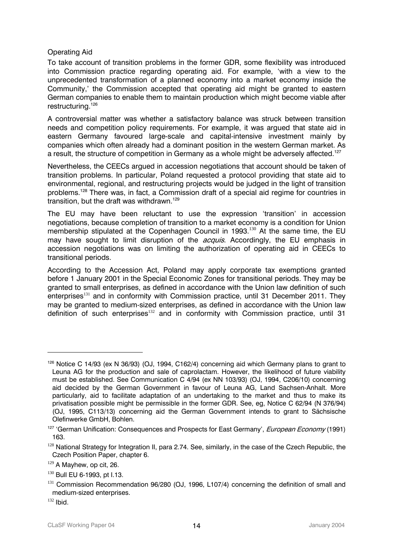### Operating Aid

To take account of transition problems in the former GDR, some flexibility was introduced into Commission practice regarding operating aid. For example, 'with a view to the unprecedented transformation of a planned economy into a market economy inside the Community,' the Commission accepted that operating aid might be granted to eastern German companies to enable them to maintain production which might become viable after restructuring.<sup>126</sup>

A controversial matter was whether a satisfactory balance was struck between transition needs and competition policy requirements. For example, it was argued that state aid in eastern Germany favoured large-scale and capital-intensive investment mainly by companies which often already had a dominant position in the western German market. As a result, the structure of competition in Germany as a whole might be adversely affected.<sup>127</sup>

Nevertheless, the CEECs argued in accession negotiations that account should be taken of transition problems. In particular, Poland requested a protocol providing that state aid to environmental, regional, and restructuring projects would be judged in the light of transition problems.128 There was, in fact, a Commission draft of a special aid regime for countries in transition, but the draft was withdrawn.129

The EU may have been reluctant to use the expression 'transition' in accession negotiations, because completion of transition to a market economy is a condition for Union membership stipulated at the Copenhagen Council in 1993.<sup>130</sup> At the same time, the EU may have sought to limit disruption of the *acquis*. Accordingly, the EU emphasis in accession negotiations was on limiting the authorization of operating aid in CEECs to transitional periods.

According to the Accession Act, Poland may apply corporate tax exemptions granted before 1 January 2001 in the Special Economic Zones for transitional periods. They may be granted to small enterprises, as defined in accordance with the Union law definition of such enterprises<sup>131</sup> and in conformity with Commission practice, until 31 December 2011. They may be granted to medium-sized enterprises, as defined in accordance with the Union law definition of such enterprises $132$  and in conformity with Commission practice, until 31

<sup>&</sup>lt;sup>126</sup> Notice C 14/93 (ex N 36/93) (OJ, 1994, C162/4) concerning aid which Germany plans to grant to Leuna AG for the production and sale of caprolactam. However, the likelihood of future viability must be established. See Communication C 4/94 (ex NN 103/93) (OJ, 1994, C206/10) concerning aid decided by the German Government in favour of Leuna AG, Land Sachsen-Anhalt. More particularly, aid to facilitate adaptation of an undertaking to the market and thus to make its privatisation possible might be permissible in the former GDR. See, eg, Notice C 62/94 (N 376/94) (OJ, 1995, C113/13) concerning aid the German Government intends to grant to Sächsische Olefinwerke GmbH, Bohlen.

<sup>&</sup>lt;sup>127</sup> 'German Unification: Consequences and Prospects for East Germany', *European Economy* (1991) 163.

<sup>&</sup>lt;sup>128</sup> National Strategy for Integration II, para 2.74. See, similarly, in the case of the Czech Republic, the Czech Position Paper, chapter 6.

 $129$  A Mayhew, op cit, 26.

<sup>&</sup>lt;sup>130</sup> Bull EU 6-1993, pt l.13.

<sup>&</sup>lt;sup>131</sup> Commission Recommendation 96/280 (OJ, 1996, L107/4) concerning the definition of small and medium-sized enterprises.

 $132$  Ibid.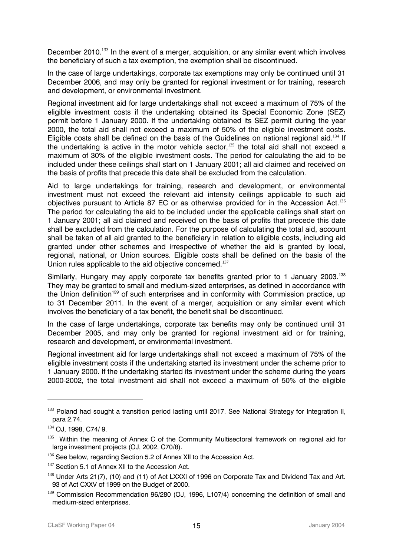December 2010.<sup>133</sup> In the event of a merger, acquisition, or any similar event which involves the beneficiary of such a tax exemption, the exemption shall be discontinued.

In the case of large undertakings, corporate tax exemptions may only be continued until 31 December 2006, and may only be granted for regional investment or for training, research and development, or environmental investment.

Regional investment aid for large undertakings shall not exceed a maximum of 75% of the eligible investment costs if the undertaking obtained its Special Economic Zone (SEZ) permit before 1 January 2000. If the undertaking obtained its SEZ permit during the year 2000, the total aid shall not exceed a maximum of 50% of the eligible investment costs. Eligible costs shall be defined on the basis of the Guidelines on national regional aid.<sup>134</sup> If the undertaking is active in the motor vehicle sector, $135$  the total aid shall not exceed a maximum of 30% of the eligible investment costs. The period for calculating the aid to be included under these ceilings shall start on 1 January 2001; all aid claimed and received on the basis of profits that precede this date shall be excluded from the calculation.

Aid to large undertakings for training, research and development, or environmental investment must not exceed the relevant aid intensity ceilings applicable to such aid objectives pursuant to Article 87 EC or as otherwise provided for in the Accession Act.<sup>136</sup> The period for calculating the aid to be included under the applicable ceilings shall start on 1 January 2001; all aid claimed and received on the basis of profits that precede this date shall be excluded from the calculation. For the purpose of calculating the total aid, account shall be taken of all aid granted to the beneficiary in relation to eligible costs, including aid granted under other schemes and irrespective of whether the aid is granted by local, regional, national, or Union sources. Eligible costs shall be defined on the basis of the Union rules applicable to the aid objective concerned.<sup>137</sup>

Similarly, Hungary may apply corporate tax benefits granted prior to 1 January 2003.<sup>138</sup> They may be granted to small and medium-sized enterprises, as defined in accordance with the Union definition<sup>139</sup> of such enterprises and in conformity with Commission practice, up to 31 December 2011. In the event of a merger, acquisition or any similar event which involves the beneficiary of a tax benefit, the benefit shall be discontinued.

In the case of large undertakings, corporate tax benefits may only be continued until 31 December 2005, and may only be granted for regional investment aid or for training, research and development, or environmental investment.

Regional investment aid for large undertakings shall not exceed a maximum of 75% of the eligible investment costs if the undertaking started its investment under the scheme prior to 1 January 2000. If the undertaking started its investment under the scheme during the years 2000-2002, the total investment aid shall not exceed a maximum of 50% of the eligible

<sup>&</sup>lt;sup>133</sup> Poland had sought a transition period lasting until 2017. See National Strategy for Integration II, para 2.74.

<sup>134</sup> OJ, 1998, C74/ 9.

<sup>&</sup>lt;sup>135</sup> Within the meaning of Annex C of the Community Multisectoral framework on regional aid for large investment projects (OJ, 2002, C70/8).

<sup>136</sup> See below, regarding Section 5.2 of Annex XII to the Accession Act.

<sup>&</sup>lt;sup>137</sup> Section 5.1 of Annex XII to the Accession Act.

<sup>138</sup> Under Arts 21(7), (10) and (11) of Act LXXXI of 1996 on Corporate Tax and Dividend Tax and Art. 93 of Act CXXV of 1999 on the Budget of 2000.

<sup>139</sup> Commission Recommendation 96/280 (OJ, 1996, L107/4) concerning the definition of small and medium-sized enterprises.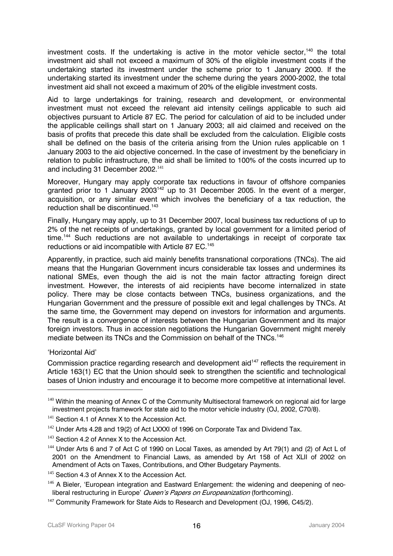investment costs. If the undertaking is active in the motor vehicle sector, $140$  the total investment aid shall not exceed a maximum of 30% of the eligible investment costs if the undertaking started its investment under the scheme prior to 1 January 2000. If the undertaking started its investment under the scheme during the years 2000-2002, the total investment aid shall not exceed a maximum of 20% of the eligible investment costs.

Aid to large undertakings for training, research and development, or environmental investment must not exceed the relevant aid intensity ceilings applicable to such aid objectives pursuant to Article 87 EC. The period for calculation of aid to be included under the applicable ceilings shall start on 1 January 2003; all aid claimed and received on the basis of profits that precede this date shall be excluded from the calculation. Eligible costs shall be defined on the basis of the criteria arising from the Union rules applicable on 1 January 2003 to the aid objective concerned. In the case of investment by the beneficiary in relation to public infrastructure, the aid shall be limited to 100% of the costs incurred up to and including 31 December 2002.<sup>141</sup>

Moreover, Hungary may apply corporate tax reductions in favour of offshore companies granted prior to 1 January  $2003^{142}$  up to 31 December 2005. In the event of a merger, acquisition, or any similar event which involves the beneficiary of a tax reduction, the reduction shall be discontinued.<sup>143</sup>

Finally, Hungary may apply, up to 31 December 2007, local business tax reductions of up to 2% of the net receipts of undertakings, granted by local government for a limited period of time.<sup>144</sup> Such reductions are not available to undertakings in receipt of corporate tax reductions or aid incompatible with Article 87 EC.<sup>145</sup>

Apparently, in practice, such aid mainly benefits transnational corporations (TNCs). The aid means that the Hungarian Government incurs considerable tax losses and undermines its national SMEs, even though the aid is not the main factor attracting foreign direct investment. However, the interests of aid recipients have become internalized in state policy. There may be close contacts between TNCs, business organizations, and the Hungarian Government and the pressure of possible exit and legal challenges by TNCs. At the same time, the Government may depend on investors for information and arguments. The result is a convergence of interests between the Hungarian Government and its major foreign investors. Thus in accession negotiations the Hungarian Government might merely mediate between its TNCs and the Commission on behalf of the TNCs.<sup>146</sup>

'Horizontal Aid'

 $\overline{a}$ 

Commission practice regarding research and development aid<sup>147</sup> reflects the requirement in Article 163(1) EC that the Union should seek to strengthen the scientific and technological bases of Union industry and encourage it to become more competitive at international level.

<sup>&</sup>lt;sup>140</sup> Within the meaning of Annex C of the Community Multisectoral framework on regional aid for large investment projects framework for state aid to the motor vehicle industry (OJ, 2002, C70/8).

<sup>&</sup>lt;sup>141</sup> Section 4.1 of Annex X to the Accession Act.

 $142$  Under Arts 4.28 and 19(2) of Act LXXXI of 1996 on Corporate Tax and Dividend Tax.

<sup>&</sup>lt;sup>143</sup> Section 4.2 of Annex X to the Accession Act.

<sup>&</sup>lt;sup>144</sup> Under Arts 6 and 7 of Act C of 1990 on Local Taxes, as amended by Art 79(1) and (2) of Act L of 2001 on the Amendment to Financial Laws, as amended by Art 158 of Act XLII of 2002 on Amendment of Acts on Taxes, Contributions, and Other Budgetary Payments.

<sup>&</sup>lt;sup>145</sup> Section 4.3 of Annex X to the Accession Act.

<sup>&</sup>lt;sup>146</sup> A Bieler, 'European integration and Eastward Enlargement: the widening and deepening of neoliberal restructuring in Europe' Queen's Papers on Europeanization (forthcoming).

<sup>&</sup>lt;sup>147</sup> Community Framework for State Aids to Research and Development (OJ, 1996, C45/2).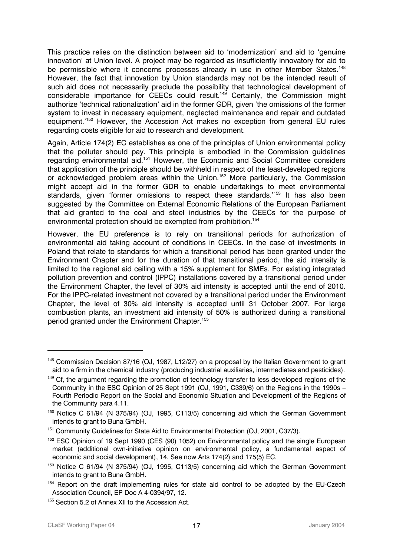This practice relies on the distinction between aid to 'modernization' and aid to 'genuine innovation' at Union level. A project may be regarded as insufficiently innovatory for aid to be permissible where it concerns processes already in use in other Member States.<sup>148</sup> However, the fact that innovation by Union standards may not be the intended result of such aid does not necessarily preclude the possibility that technological development of considerable importance for CEECs could result. 149 Certainly, the Commission might authorize 'technical rationalization' aid in the former GDR, given 'the omissions of the former system to invest in necessary equipment, neglected maintenance and repair and outdated equipment.'150 However, the Accession Act makes no exception from general EU rules regarding costs eligible for aid to research and development.

Again, Article 174(2) EC establishes as one of the principles of Union environmental policy that the polluter should pay. This principle is embodied in the Commission guidelines regarding environmental aid.<sup>151</sup> However, the Economic and Social Committee considers that application of the principle should be withheld in respect of the least-developed regions or acknowledged problem areas within the Union.152 More particularly, the Commission might accept aid in the former GDR to enable undertakings to meet environmental standards, given 'former omissions to respect these standards.<sup>'153</sup> It has also been suggested by the Committee on External Economic Relations of the European Parliament that aid granted to the coal and steel industries by the CEECs for the purpose of environmental protection should be exempted from prohibition.<sup>154</sup>

However, the EU preference is to rely on transitional periods for authorization of environmental aid taking account of conditions in CEECs. In the case of investments in Poland that relate to standards for which a transitional period has been granted under the Environment Chapter and for the duration of that transitional period, the aid intensity is limited to the regional aid ceiling with a 15% supplement for SMEs. For existing integrated pollution prevention and control (IPPC) installations covered by a transitional period under the Environment Chapter, the level of 30% aid intensity is accepted until the end of 2010. For the IPPC-related investment not covered by a transitional period under the Environment Chapter, the level of 30% aid intensity is accepted until 31 October 2007. For large combustion plants, an investment aid intensity of 50% is authorized during a transitional period granted under the Environment Chapter. 155

 $148$  Commission Decision 87/16 (OJ, 1987, L12/27) on a proposal by the Italian Government to grant aid to a firm in the chemical industry (producing industrial auxiliaries, intermediates and pesticides).

<sup>&</sup>lt;sup>149</sup> Cf, the argument regarding the promotion of technology transfer to less developed regions of the Community in the ESC Opinion of 25 Sept 1991 (OJ, 1991, C339/6) on the Regions in the 1990s – Fourth Periodic Report on the Social and Economic Situation and Development of the Regions of the Community para 4.11.

<sup>&</sup>lt;sup>150</sup> Notice C 61/94 (N 375/94) (OJ, 1995, C113/5) concerning aid which the German Government intends to grant to Buna GmbH.

<sup>&</sup>lt;sup>151</sup> Community Guidelines for State Aid to Environmental Protection (OJ, 2001, C37/3).

<sup>152</sup> ESC Opinion of 19 Sept 1990 (CES (90) 1052) on Environmental policy and the single European market (additional own-initiative opinion on environmental policy, a fundamental aspect of economic and social development), 14. See now Arts 174(2) and 175(5) EC.

<sup>&</sup>lt;sup>153</sup> Notice C 61/94 (N 375/94) (OJ, 1995, C113/5) concerning aid which the German Government intends to grant to Buna GmbH.

<sup>&</sup>lt;sup>154</sup> Report on the draft implementing rules for state aid control to be adopted by the EU-Czech Association Council, EP Doc A 4-0394/97, 12.

<sup>&</sup>lt;sup>155</sup> Section 5.2 of Annex XII to the Accession Act.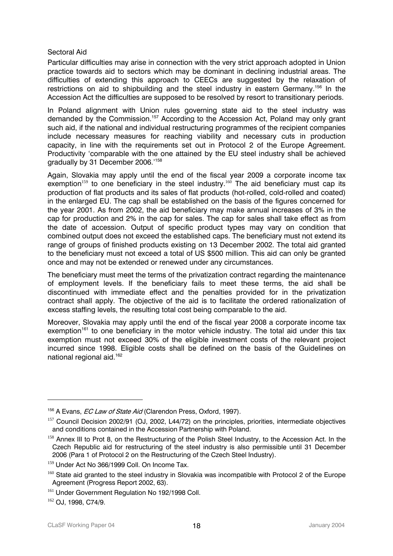## Sectoral Aid

Particular difficulties may arise in connection with the very strict approach adopted in Union practice towards aid to sectors which may be dominant in declining industrial areas. The difficulties of extending this approach to CEECs are suggested by the relaxation of restrictions on aid to shipbuilding and the steel industry in eastern Germany.<sup>156</sup> In the Accession Act the difficulties are supposed to be resolved by resort to transitionary periods.

In Poland alignment with Union rules governing state aid to the steel industry was demanded by the Commission.<sup>157</sup> According to the Accession Act, Poland may only grant such aid, if the national and individual restructuring programmes of the recipient companies include necessary measures for reaching viability and necessary cuts in production capacity, in line with the requirements set out in Protocol 2 of the Europe Agreement. Productivity 'comparable with the one attained by the EU steel industry shall be achieved gradually by 31 December 2006.'158

Again, Slovakia may apply until the end of the fiscal year 2009 a corporate income tax exemption<sup>159</sup> to one beneficiary in the steel industry.<sup>160</sup> The aid beneficiary must cap its production of flat products and its sales of flat products (hot-rolled, cold-rolled and coated) in the enlarged EU. The cap shall be established on the basis of the figures concerned for the year 2001. As from 2002, the aid beneficiary may make annual increases of 3% in the cap for production and 2% in the cap for sales. The cap for sales shall take effect as from the date of accession. Output of specific product types may vary on condition that combined output does not exceed the established caps. The beneficiary must not extend its range of groups of finished products existing on 13 December 2002. The total aid granted to the beneficiary must not exceed a total of US \$500 million. This aid can only be granted once and may not be extended or renewed under any circumstances.

The beneficiary must meet the terms of the privatization contract regarding the maintenance of employment levels. If the beneficiary fails to meet these terms, the aid shall be discontinued with immediate effect and the penalties provided for in the privatization contract shall apply. The objective of the aid is to facilitate the ordered rationalization of excess staffing levels, the resulting total cost being comparable to the aid.

Moreover, Slovakia may apply until the end of the fiscal year 2008 a corporate income tax exemption<sup>161</sup> to one beneficiary in the motor vehicle industry. The total aid under this tax exemption must not exceed 30% of the eligible investment costs of the relevant project incurred since 1998. Eligible costs shall be defined on the basis of the Guidelines on national regional aid.162

<sup>&</sup>lt;sup>156</sup> A Evans, *EC Law of State Aid* (Clarendon Press, Oxford, 1997).

 $157$  Council Decision 2002/91 (OJ, 2002, L44/72) on the principles, priorities, intermediate objectives and conditions contained in the Accession Partnership with Poland.

<sup>&</sup>lt;sup>158</sup> Annex III to Prot 8, on the Restructuring of the Polish Steel Industry, to the Accession Act. In the Czech Republic aid for restructuring of the steel industry is also permissible until 31 December 2006 (Para 1 of Protocol 2 on the Restructuring of the Czech Steel Industry).

<sup>&</sup>lt;sup>159</sup> Under Act No 366/1999 Coll. On Income Tax.

<sup>160</sup> State aid granted to the steel industry in Slovakia was incompatible with Protocol 2 of the Europe Agreement (Progress Report 2002, 63).

<sup>&</sup>lt;sup>161</sup> Under Government Regulation No 192/1998 Coll.

<sup>162</sup> OJ, 1998, C74/9.